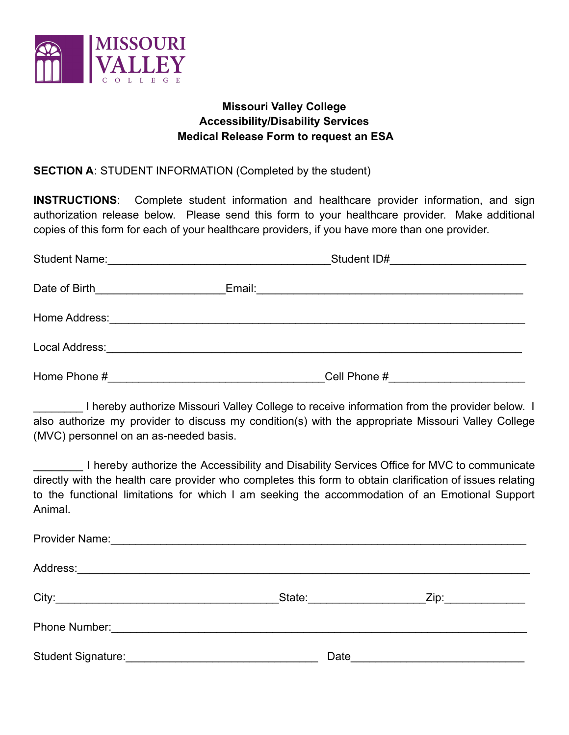

# **Missouri Valley College Accessibility/Disability Services Medical Release Form to request an ESA**

## **SECTION A**: STUDENT INFORMATION (Completed by the student)

**INSTRUCTIONS**: Complete student information and healthcare provider information, and sign authorization release below. Please send this form to your healthcare provider. Make additional copies of this form for each of your healthcare providers, if you have more than one provider.

| <b>Student Name:</b> | <u> 1980 - John Stein, Amerikaansk politiker (* 1900)</u> | Student ID#<br><u> 1980 - Jan Samuel Barbara, martin d</u> |  |
|----------------------|-----------------------------------------------------------|------------------------------------------------------------|--|
|                      |                                                           |                                                            |  |
|                      |                                                           |                                                            |  |
|                      |                                                           |                                                            |  |
| Home Phone #         |                                                           | Cell Phone #                                               |  |

I hereby authorize Missouri Valley College to receive information from the provider below. I also authorize my provider to discuss my condition(s) with the appropriate Missouri Valley College (MVC) personnel on an as-needed basis.

I hereby authorize the Accessibility and Disability Services Office for MVC to communicate directly with the health care provider who completes this form to obtain clarification of issues relating to the functional limitations for which I am seeking the accommodation of an Emotional Support Animal.

|                                                                                                                                                                                                                                | State: _________________ | Zip:_____________                |  |  |
|--------------------------------------------------------------------------------------------------------------------------------------------------------------------------------------------------------------------------------|--------------------------|----------------------------------|--|--|
| Phone Number: 2008 and 2009 and 2009 and 2010 and 2010 and 2010 and 2010 and 2010 and 2010 and 2010 and 2010 and 2010 and 2010 and 2010 and 2010 and 2010 and 2010 and 2010 and 2010 and 2010 and 2010 and 2010 and 2010 and 2 |                          |                                  |  |  |
|                                                                                                                                                                                                                                |                          | Date <u>____________________</u> |  |  |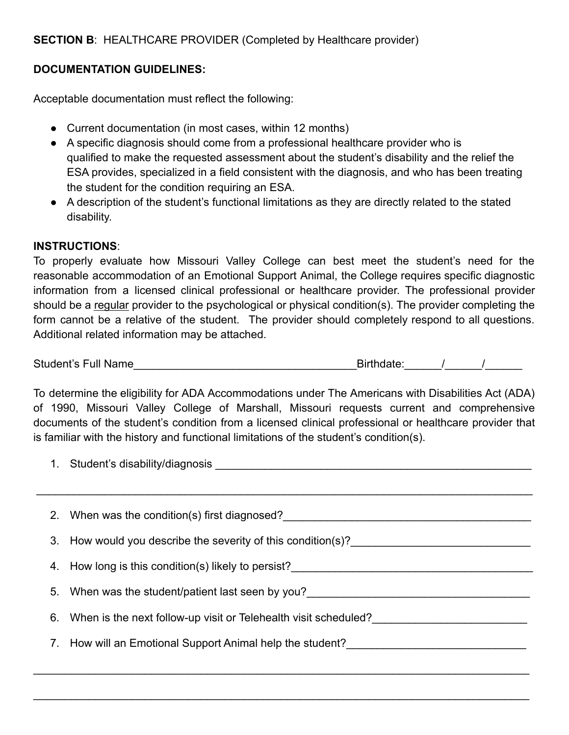# **SECTION B**: HEALTHCARE PROVIDER (Completed by Healthcare provider)

## **DOCUMENTATION GUIDELINES:**

Acceptable documentation must reflect the following:

- Current documentation (in most cases, within 12 months)
- A specific diagnosis should come from a professional healthcare provider who is qualified to make the requested assessment about the student's disability and the relief the ESA provides, specialized in a field consistent with the diagnosis, and who has been treating the student for the condition requiring an ESA.
- A description of the student's functional limitations as they are directly related to the stated disability.

#### **INSTRUCTIONS**:

To properly evaluate how Missouri Valley College can best meet the student's need for the reasonable accommodation of an Emotional Support Animal, the College requires specific diagnostic information from a licensed clinical professional or healthcare provider. The professional provider should be a regular provider to the psychological or physical condition(s). The provider completing the form cannot be a relative of the student. The provider should completely respond to all questions. Additional related information may be attached.

Student's Full Name\_\_\_\_\_\_\_\_\_\_\_\_\_\_\_\_\_\_\_\_\_\_\_\_\_\_\_\_\_\_\_\_\_\_\_\_Birthdate:\_\_\_\_\_\_/\_\_\_\_\_\_/\_\_\_\_\_\_

To determine the eligibility for ADA Accommodations under The Americans with Disabilities Act (ADA) of 1990, Missouri Valley College of Marshall, Missouri requests current and comprehensive documents of the student's condition from a licensed clinical professional or healthcare provider that is familiar with the history and functional limitations of the student's condition(s).

1. Student's disability/diagnosis **Example 2018** 

\_\_\_\_\_\_\_\_\_\_\_\_\_\_\_\_\_\_\_\_\_\_\_\_\_\_\_\_\_\_\_\_\_\_\_\_\_\_\_\_\_\_\_\_\_\_\_\_\_\_\_\_\_\_\_\_\_\_\_\_\_\_\_\_\_\_\_\_\_\_\_\_\_\_\_\_\_\_\_\_

| 2. When was the condition(s) first diagnosed?                      |  |
|--------------------------------------------------------------------|--|
| 3. How would you describe the severity of this condition(s)?       |  |
| 4. How long is this condition(s) likely to persist?                |  |
| 5. When was the student/patient last seen by you?                  |  |
| 6. When is the next follow-up visit or Telehealth visit scheduled? |  |
| 7. How will an Emotional Support Animal help the student?          |  |
|                                                                    |  |

 $\_$ 

 $\_$